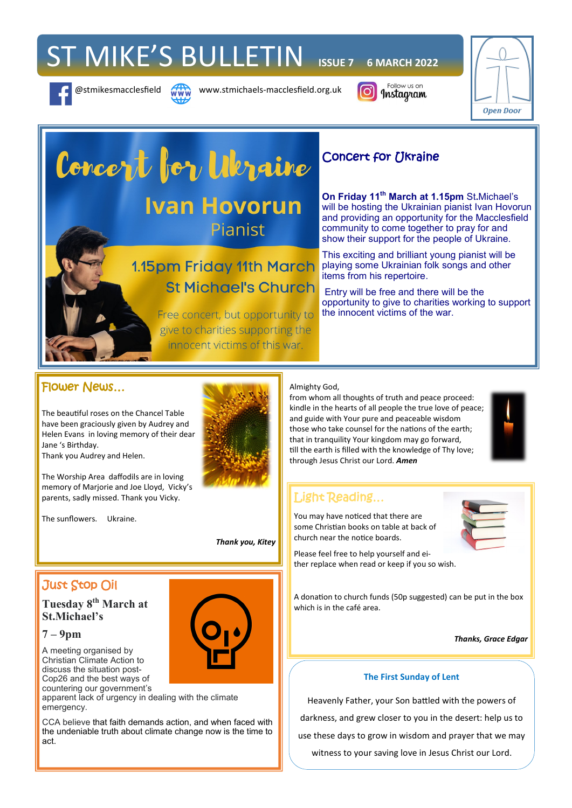# ST MIKE'S BULLETIN **ISSUE 7 – 6 MARCH 2022**





@stmikesmacclesfield www.stmichaels-macclesfield.org.uk

Follow us on Instagram



# Concert for Ukraine **Ivan Hovorun** Pianist

# **1.15pm Friday 11th March St Michael's Church**

Free concert, but opportunity to give to charities supporting the innocent victims of this war.

## Concert for Ukraine

**On Friday 11th March at 1.15pm** St**.**Michael's will be hosting the Ukrainian pianist Ivan Hovorun and providing an opportunity for the Macclesfield community to come together to pray for and show their support for the people of Ukraine.

This exciting and brilliant young pianist will be playing some Ukrainian folk songs and other items from his repertoire.

Entry will be free and there will be the opportunity to give to charities working to support the innocent victims of the war.

## Flower News…

The beautiful roses on the Chancel Table have been graciously given by Audrey and Helen Evans in loving memory of their dear Jane 's Birthday.

Thank you Audrey and Helen.

The Worship Area daffodils are in loving memory of Marjorie and Joe Lloyd, Vicky's parents, sadly missed. Thank you Vicky.

The sunflowers. Ukraine.



#### Almighty God,

from whom all thoughts of truth and peace proceed: kindle in the hearts of all people the true love of peace; and guide with Your pure and peaceable wisdom those who take counsel for the nations of the earth; that in tranquility Your kingdom may go forward, till the earth is filled with the knowledge of Thy love; through Jesus Christ our Lord. *Amen*



## Light Reading…

You may have noticed that there are some Christian books on table at back of church near the notice boards.



Please feel free to help yourself and either replace when read or keep if you so wish.

A donation to church funds (50p suggested) can be put in the box which is in the café area.

*Thanks, Grace Edgar*

#### **The First Sunday of Lent**

Heavenly Father, your Son battled with the powers of darkness, and grew closer to you in the desert: help us to use these days to grow in wisdom and prayer that we may witness to your saving love in Jesus Christ our Lord.

*Thank you, Kitey*

## Just Stop Oil

## **Tuesday 8th March at St.Michael's**



A meeting organised by Christian Climate Action to discuss the situation post-Cop26 and the best ways of countering our government's

apparent lack of urgency in dealing with the climate emergency.

CCA believe that faith demands action, and when faced with the undeniable truth about climate change now is the time to act.